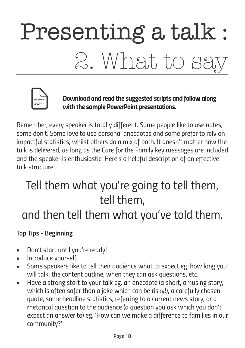# Presenting a talk : 2. What to sa



*Download and read the suggested scripts and follow along with the sample PowerPoint presentations.*

*Remember, every speaker is totally different. Some people like to use notes, some don't. Some love to use personal anecdotes and some prefer to rely on impactful statistics, whilst others do a mix of both. It doesn't matter how the talk is delivered, as long as the Care for the Family key messages are included and the speaker is enthusiastic! Here's a helpful description of an effective talk structure:* 

## *Tell them what you're going to tell them, tell them,*

### *and then tell them what you've told them.*

#### *Top Tips - Beginning*

- *• Don't start until you're ready!*
- *• Introduce yourself.*
- *• Some speakers like to tell their audience what to expect eg. how long you will talk, the content outline, when they can ask questions, etc.*
- *• Have a strong start to your talk eg. an anecdote (a short, amusing story,*  which is often safer than a joke which can be risky!), a carefully chosen *quote, some headline statistics, referring to a current news story, or a rhetorical question to the audience (a question you ask which you don't expect an answer to) eg. 'How can we make a difference to families in our community?'*